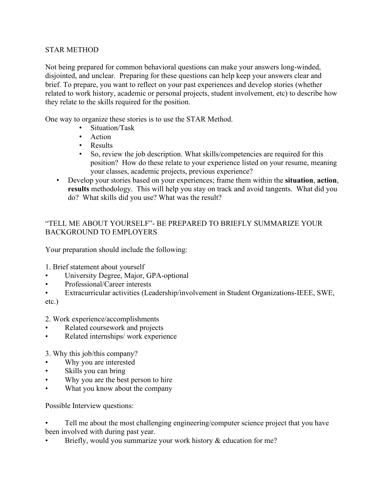## STAR METHOD

Not being prepared for common behavioral questions can make your answers long-winded, disjointed, and unclear. Preparing for these questions can help keep your answers clear and brief. To prepare, you want to reflect on your past experiences and develop stories (whether related to work history, academic or personal projects, student involvement, etc) to describe how they relate to the skills required for the position.

One way to organize these stories is to use the STAR Method.

- Situation/Task
- Action
- Results<br>• So. revi
- So, review the job description. What skills/competencies are required for this position? How do these relate to your experience listed on your resume, meaning your classes, academic projects, previous experience?
- Develop your stories based on your experiences; frame them within the **situation**, **action**, **results** methodology. This will help you stay on track and avoid tangents. What did you do? What skills did you use? What was the result?

## "TELL ME ABOUT YOURSELF"- BE PREPARED TO BRIEFLY SUMMARIZE YOUR BACKGROUND TO EMPLOYERS

Your preparation should include the following:

1. Brief statement about yourself

- University Degree, Major, GPA-optional
- Professional/Career interests
- Extracurricular activities (Leadership/involvement in Student Organizations-IEEE, SWE, etc.)

2. Work experience/accomplishments

- Related coursework and projects
- Related internships/ work experience
- 3. Why this job/this company?
- Why you are interested
- Skills you can bring
- Why you are the best person to hire
- What you know about the company

Possible Interview questions:

Tell me about the most challenging engineering/computer science project that you have been involved with during past year.

Briefly, would you summarize your work history & education for me?